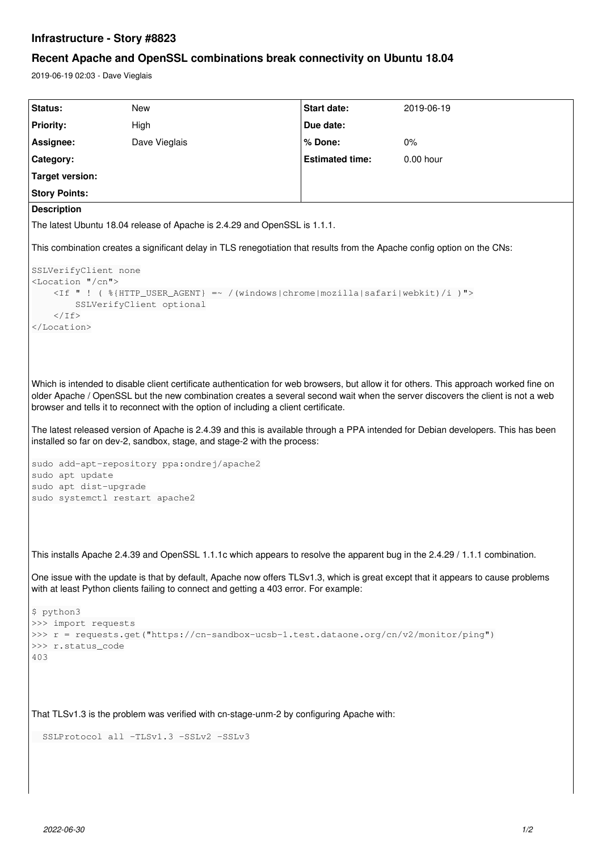## **Infrastructure - Story #8823**

# **Recent Apache and OpenSSL combinations break connectivity on Ubuntu 18.04**

2019-06-19 02:03 - Dave Vieglais

```
Status: New Start date: 2019-06-19
Priority: High High Due date:
Assignee: Dave Vieglais % Done: 0%
Category: Estimated time: 0.00 hour
Target version:
Story Points:
Description
The latest Ubuntu 18.04 release of Apache is 2.4.29 and OpenSSL is 1.1.1.
This combination creates a significant delay in TLS renegotiation that results from the Apache config option on the CNs:
SSLVerifyClient none
<Location "/cn">
        <If " ! ( %{HTTP_USER_AGENT} =~ /(windows|chrome|mozilla|safari|webkit)/i )">
                SSLVerifyClient optional
    \langle/Tf>
</Location>
Which is intended to disable client certificate authentication for web browsers, but allow it for others. This approach worked fine on
older Apache / OpenSSL but the new combination creates a several second wait when the server discovers the client is not a web
browser and tells it to reconnect with the option of including a client certificate.
The latest released version of Apache is 2.4.39 and this is available through a PPA intended for Debian developers. This has been
installed so far on dev-2, sandbox, stage, and stage-2 with the process:
sudo add-apt-repository ppa:ondrej/apache2
sudo apt update
sudo apt dist-upgrade
sudo systemctl restart apache2
This installs Apache 2.4.39 and OpenSSL 1.1.1c which appears to resolve the apparent bug in the 2.4.29 / 1.1.1 combination.
One issue with the update is that by default, Apache now offers TLSv1.3, which is great except that it appears to cause problems
with at least Python clients failing to connect and getting a 403 error. For example:
$ python3
>>> import requests
>>> r = requests.get("https://cn-sandbox-ucsb-1.test.dataone.org/cn/v2/monitor/ping")
>>> r.status_code
403
That TLSv1.3 is the problem was verified with cn-stage-unm-2 by configuring Apache with:
    SSLProtocol all -TLSv1.3 -SSLv2 -SSLv3
```